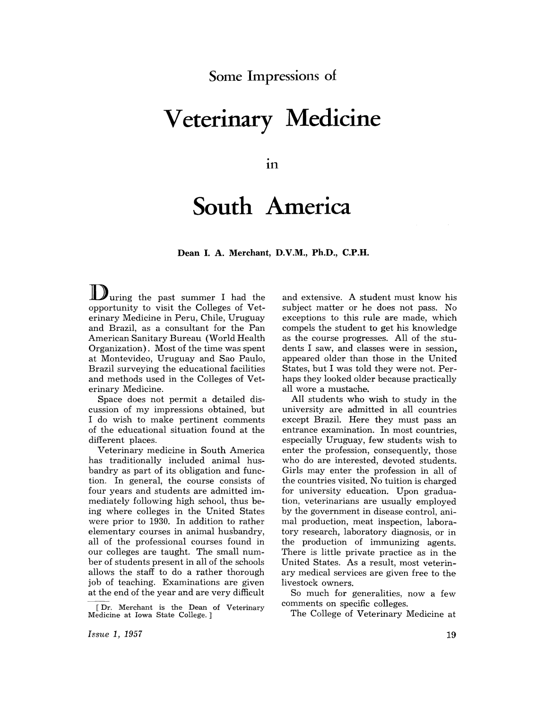**Some Impressions of** 

## **Veterinary Medicine**

.<br>.<br>... **In** 

## **South America**

**Dean I. A. Merchant, D.V.M., Ph.D., C.P.H.** 

Juring the past summer I had the opportunity to visit the Colleges of Veterinary Medicine in Peru, Chile, Uruguay and Brazil, as a consultant for the Pan American Sanitary Bureau (World Health Organization). Most of the time was spent at Montevideo, Uruguay and Sao Paulo, Brazil surveying the educational facilities and methods used in the Colleges of Veterinary Medicine.

Space does not permit a detailed discussion of my impressions obtained, but I do wish to make pertinent comments of the educational situation found at the different places.

Veterinary medicine in South America has traditionally included animal husbandry as part of its obligation and function. In general, the course consists of four years and students are admitted immediately following high school, thus being where colleges in the United States were prior to 1930. In addition to rather elementary courses in animal husbandry, all of the professional courses found in our colleges are taught. The small number of students present in all of the schools allows the staff to do a rather thorough job of teaching. Examinations are given at the end of the year and are very difficult

and extensive. A student must know his subject matter or he does not pass. No exceptions to this rule are made, which compels the student to get his knowledge as the course progresses. All of the students I saw, and classes were in session, appeared older than those in the United States, but I was told they were not. Perhaps they looked older because practically all wore a mustache.

All students who wish to study in the university are admitted in all countries except Brazil. Here they must pass an entrance examination. In most countries, especially Uruguay, few students wish to enter the profession, consequently, those who do are interested, devoted students. Girls may enter the profession in all of the countries visited. No tuition is charged for university education. Upon graduation, veterinarians are usually employed by the government in disease control, animal production, meat inspection, laboratory research, laboratory diagnosis, or in the production of immunizing agents. There is little private practice as in the United States. As a result, most veterinary medical services are given free to the livestock owners.

So much for generalities, now a few comments on specific colleges.

The College of Veterinary Medicine at

<sup>[</sup>Dr. Merchant is the Dean of Veterinary Medicine at Iowa State College.]